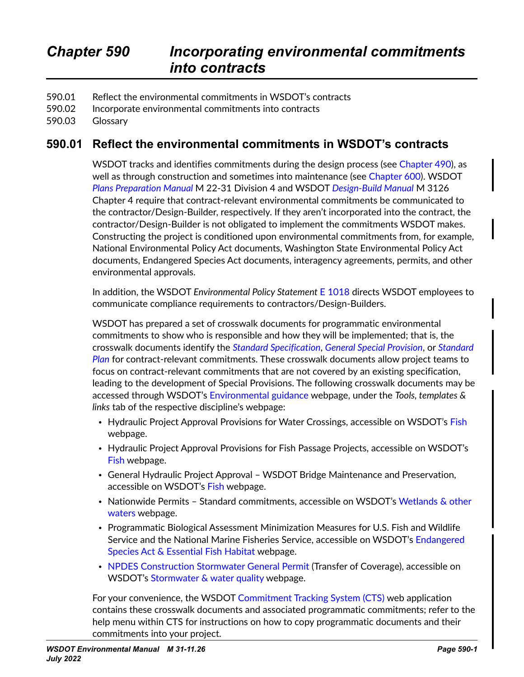- 590.01 Reflect the environmental commitments in WSDOT's contracts
- 590.02 Incorporate environmental commitments into contracts
- 590.03 Glossary

## **590.01 Reflect the environmental commitments in WSDOT's contracts**

WSDOT tracks and identifies commitments during the design process (see Chapter 490), as well as through construction and sometimes into maintenance (see Chapter 600). WSDOT *[Plans Preparation Manual](https://wsdot.wa.gov/engineering-standards/all-manuals-and-standards/manuals/plans-preparation-manual)* M 22-31 Division 4 and WSDOT *[Design-Build Manual](https://wsdot.wa.gov/engineering-standards/all-manuals-and-standards/manuals/design-build-manual)* M 3126 Chapter 4 require that contract-relevant environmental commitments be communicated to the contractor/Design-Builder, respectively. If they aren't incorporated into the contract, the contractor/Design-Builder is not obligated to implement the commitments WSDOT makes. Constructing the project is conditioned upon environmental commitments from, for example, National Environmental Policy Act documents, Washington State Environmental Policy Act documents, Endangered Species Act documents, interagency agreements, permits, and other environmental approvals.

In addition, the WSDOT *Environmental Policy Statement* [E 1018](http://wwwi.wsdot.wa.gov/publications/policies/fulltext/1018.pdf) directs WSDOT employees to communicate compliance requirements to contractors/Design-Builders.

WSDOT has prepared a set of crosswalk documents for programmatic environmental commitments to show who is responsible and how they will be implemented; that is, the crosswalk documents identify the *[Standard Specification](https://wsdot.wa.gov/engineering-standards/all-manuals-and-standards/manuals/standard-specifications-road-bridge-and-municipal-construction)*, *[General Special Provision](https://www.wsdot.wa.gov/Publications/Manuals/GSP.htm)*, or *[Standard](https://wsdot.wa.gov/engineering-standards/all-manuals-and-standards/manuals/standard-plans)  [Plan](https://wsdot.wa.gov/engineering-standards/all-manuals-and-standards/manuals/standard-plans)* for contract-relevant commitments. These crosswalk documents allow project teams to focus on contract-relevant commitments that are not covered by an existing specification, leading to the development of Special Provisions. The following crosswalk documents may be accessed through WSDOT's [Environmental guidance](https://wsdot.wa.gov/engineering-standards/environmental-guidance) webpage, under the *Tools, templates & links* tab of the respective discipline's webpage:

- Hydraulic Project Approval Provisions for Water Crossings, accessible on WSDOT's [Fish](https://wsdot.wa.gov/engineering-standards/environmental-guidance/fish) webpage.
- Hydraulic Project Approval Provisions for Fish Passage Projects, accessible on WSDOT's [Fish](https://wsdot.wa.gov/engineering-standards/environmental-guidance/fish) webpage.
- General Hydraulic Project Approval WSDOT Bridge Maintenance and Preservation, accessible on WSDOT's [Fish](https://wsdot.wa.gov/engineering-standards/environmental-guidance/fish) webpage.
- Nationwide Permits Standard commitments, accessible on WSDOT's [Wetlands & other](https://wsdot.wa.gov/engineering-standards/environmental-guidance/wetlands-other-waters)  [waters](https://wsdot.wa.gov/engineering-standards/environmental-guidance/wetlands-other-waters) webpage.
- Programmatic Biological Assessment Minimization Measures for U.S. Fish and Wildlife Service and the National Marine Fisheries Service, accessible on WSDOT's [Endangered](https://wsdot.wa.gov/engineering-standards/environmental-guidance/endangered-species-act-essential-fish-habitat)  [Species Act & Essential Fish Habitat](https://wsdot.wa.gov/engineering-standards/environmental-guidance/endangered-species-act-essential-fish-habitat) webpage.
- [NPDES Construction Stormwater General Permit](http://edit.wsdot.wa.gov/NR/rdonlyres/0842E4B0-06E9-4376-BFD3-D0835499C0AB/0/CSWGP_2016_Crosswalk_Document.pdf) (Transfer of Coverage), accessible on WSDOT's [Stormwater & water quality](https://wsdot.wa.gov/engineering-standards/environmental-guidance/stormwater-water-quality) webpage.

For your convenience, the WSDOT [Commitment Tracking System \(CTS\)](https://remoteapps.wsdot.wa.gov/audit/compliance/commitments/Default.aspx) web application contains these crosswalk documents and associated programmatic commitments; refer to the help menu within CTS for instructions on how to copy programmatic documents and their commitments into your project.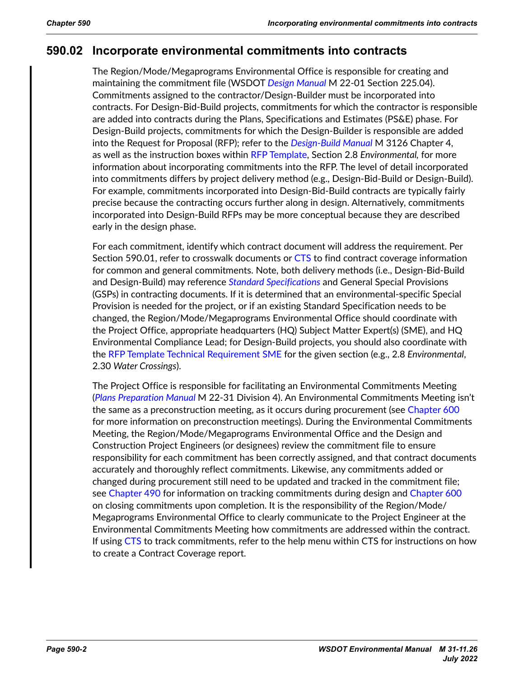## **590.02 Incorporate environmental commitments into contracts**

The Region/Mode/Megaprograms Environmental Office is responsible for creating and maintaining the commitment file (WSDOT *[Design Manual](https://wsdot.wa.gov/engineering-standards/all-manuals-and-standards/manuals/design-manual)* M 22-01 Section 225.04). Commitments assigned to the contractor/Design-Builder must be incorporated into contracts. For Design-Bid-Build projects, commitments for which the contractor is responsible are added into contracts during the Plans, Specifications and Estimates (PS&E) phase. For Design-Build projects, commitments for which the Design-Builder is responsible are added into the Request for Proposal (RFP); refer to the *[Design-Build Manual](https://wsdot.wa.gov/engineering-standards/all-manuals-and-standards/manuals/design-build-manual)* M 3126 Chapter 4, as well as the instruction boxes within [RFP Template,](http://sharedot/eng/cn/hqconstr/dpb/DB%20Templates/Forms/AllItems.aspx) Section 2.8 *Environmental,* for more information about incorporating commitments into the RFP. The level of detail incorporated into commitments differs by project delivery method (e.g., Design-Bid-Build or Design-Build). For example, commitments incorporated into Design-Bid-Build contracts are typically fairly precise because the contracting occurs further along in design. Alternatively, commitments incorporated into Design-Build RFPs may be more conceptual because they are described early in the design phase.

For each commitment, identify which contract document will address the requirement. Per Section 590.01, refer to crosswalk documents or [CTS](https://remoteapps.wsdot.wa.gov/audit/compliance/commitments/Default.aspx) to find contract coverage information for common and general commitments. Note, both delivery methods (i.e., Design-Bid-Build and Design-Build) may reference *[Standard Specifications](https://wsdot.wa.gov/engineering-standards/all-manuals-and-standards/manuals/standard-specifications-road-bridge-and-municipal-construction)* and General Special Provisions (GSPs) in contracting documents. If it is determined that an environmental-specific Special Provision is needed for the project, or if an existing Standard Specification needs to be changed, the Region/Mode/Megaprograms Environmental Office should coordinate with the Project Office, appropriate headquarters (HQ) Subject Matter Expert(s) (SME), and HQ Environmental Compliance Lead; for Design-Build projects, you should also coordinate with the [RFP Template Technical Requirement SME](http://sharedot/eng/cn/hqconstr/dpb/DB%20Templates/SME%20Contact%20List.xlsx?Web=1) for the given section (e.g., 2.8 *Environmental*, 2.30 *Water Crossings*).

The Project Office is responsible for facilitating an Environmental Commitments Meeting (*[Plans Preparation Manual](https://wsdot.wa.gov/engineering-standards/all-manuals-and-standards/manuals/plans-preparation-manual)* M 22-31 Division 4). An Environmental Commitments Meeting isn't the same as a preconstruction meeting, as it occurs during procurement (see Chapter 600 for more information on preconstruction meetings). During the Environmental Commitments Meeting, the Region/Mode/Megaprograms Environmental Office and the Design and Construction Project Engineers (or designees) review the commitment file to ensure responsibility for each commitment has been correctly assigned, and that contract documents accurately and thoroughly reflect commitments. Likewise, any commitments added or changed during procurement still need to be updated and tracked in the commitment file; see Chapter 490 for information on tracking commitments during design and Chapter 600 on closing commitments upon completion. It is the responsibility of the Region/Mode/ Megaprograms Environmental Office to clearly communicate to the Project Engineer at the Environmental Commitments Meeting how commitments are addressed within the contract. If using [CTS](https://remoteapps.wsdot.wa.gov/audit/compliance/commitments/Default.aspx) to track commitments, refer to the help menu within CTS for instructions on how to create a Contract Coverage report.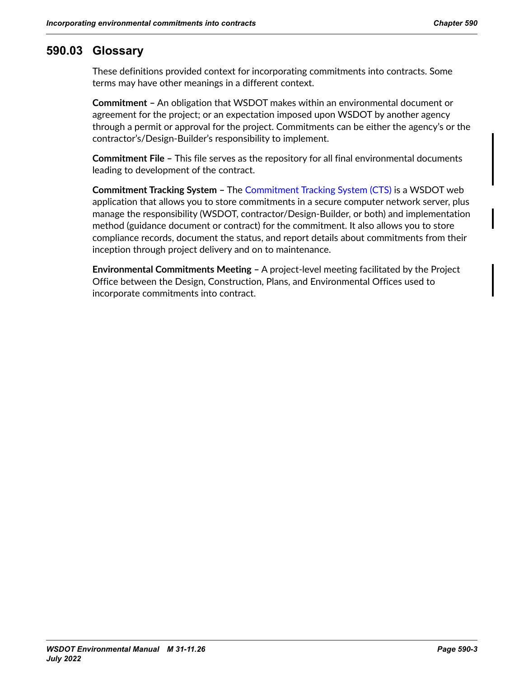## **590.03 Glossary**

These definitions provided context for incorporating commitments into contracts. Some terms may have other meanings in a different context.

**Commitment –** An obligation that WSDOT makes within an environmental document or agreement for the project; or an expectation imposed upon WSDOT by another agency through a permit or approval for the project. Commitments can be either the agency's or the contractor's/Design-Builder's responsibility to implement.

**Commitment File –** This file serves as the repository for all final environmental documents leading to development of the contract.

**Commitment Tracking System –** The [Commitment Tracking System \(CTS\)](https://remoteapps.wsdot.wa.gov/audit/compliance/commitments/Default.aspx) is a WSDOT web application that allows you to store commitments in a secure computer network server, plus manage the responsibility (WSDOT, contractor/Design-Builder, or both) and implementation method (guidance document or contract) for the commitment. It also allows you to store compliance records, document the status, and report details about commitments from their inception through project delivery and on to maintenance.

**Environmental Commitments Meeting –** A project-level meeting facilitated by the Project Office between the Design, Construction, Plans, and Environmental Offices used to incorporate commitments into contract.